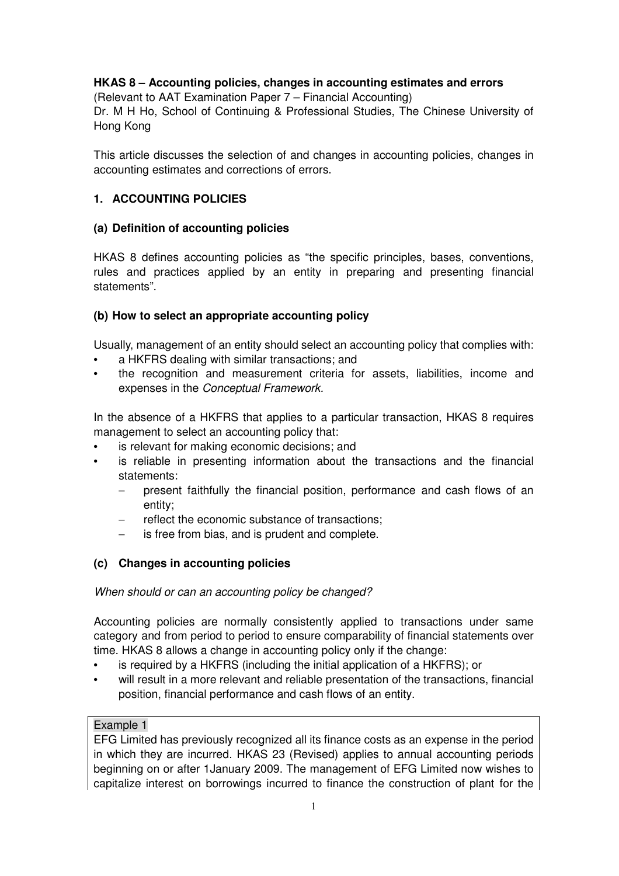# **HKAS 8 – Accounting policies, changes in accounting estimates and errors**

(Relevant to AAT Examination Paper 7 – Financial Accounting) Dr. M H Ho, School of Continuing & Professional Studies, The Chinese University of Hong Kong

This article discusses the selection of and changes in accounting policies, changes in accounting estimates and corrections of errors.

## **1. ACCOUNTING POLICIES**

## **(a) Definition of accounting policies**

HKAS 8 defines accounting policies as "the specific principles, bases, conventions, rules and practices applied by an entity in preparing and presenting financial statements".

## **(b) How to select an appropriate accounting policy**

Usually, management of an entity should select an accounting policy that complies with:

- a HKFRS dealing with similar transactions; and
- the recognition and measurement criteria for assets, liabilities, income and expenses in the Conceptual Framework.

In the absence of a HKFRS that applies to a particular transaction, HKAS 8 requires management to select an accounting policy that:

- is relevant for making economic decisions; and
- is reliable in presenting information about the transactions and the financial statements:
	- − present faithfully the financial position, performance and cash flows of an entity;
	- reflect the economic substance of transactions:
	- is free from bias, and is prudent and complete.

## **(c) Changes in accounting policies**

## When should or can an accounting policy be changed?

Accounting policies are normally consistently applied to transactions under same category and from period to period to ensure comparability of financial statements over time. HKAS 8 allows a change in accounting policy only if the change:

- is required by a HKFRS (including the initial application of a HKFRS); or
- will result in a more relevant and reliable presentation of the transactions, financial position, financial performance and cash flows of an entity.

## Example 1

EFG Limited has previously recognized all its finance costs as an expense in the period in which they are incurred. HKAS 23 (Revised) applies to annual accounting periods beginning on or after 1January 2009. The management of EFG Limited now wishes to capitalize interest on borrowings incurred to finance the construction of plant for the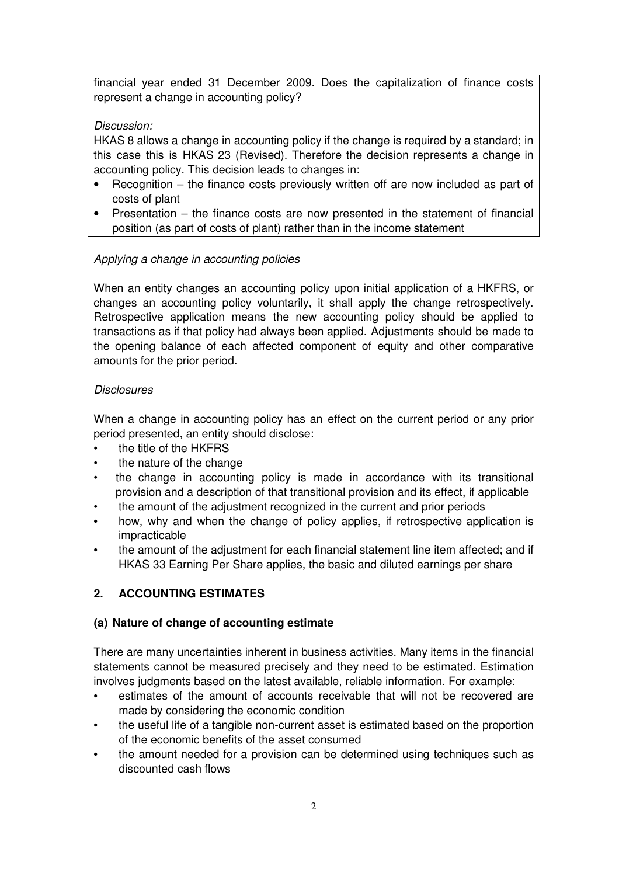financial year ended 31 December 2009. Does the capitalization of finance costs represent a change in accounting policy?

# Discussion:

HKAS 8 allows a change in accounting policy if the change is required by a standard; in this case this is HKAS 23 (Revised). Therefore the decision represents a change in accounting policy. This decision leads to changes in:

- Recognition the finance costs previously written off are now included as part of costs of plant
- Presentation the finance costs are now presented in the statement of financial position (as part of costs of plant) rather than in the income statement

# Applying a change in accounting policies

When an entity changes an accounting policy upon initial application of a HKFRS, or changes an accounting policy voluntarily, it shall apply the change retrospectively. Retrospective application means the new accounting policy should be applied to transactions as if that policy had always been applied. Adjustments should be made to the opening balance of each affected component of equity and other comparative amounts for the prior period.

## **Disclosures**

When a change in accounting policy has an effect on the current period or any prior period presented, an entity should disclose:

- the title of the HKFRS
- the nature of the change
- the change in accounting policy is made in accordance with its transitional provision and a description of that transitional provision and its effect, if applicable
- the amount of the adjustment recognized in the current and prior periods
- how, why and when the change of policy applies, if retrospective application is impracticable
- the amount of the adjustment for each financial statement line item affected; and if HKAS 33 Earning Per Share applies, the basic and diluted earnings per share

# **2. ACCOUNTING ESTIMATES**

## **(a) Nature of change of accounting estimate**

There are many uncertainties inherent in business activities. Many items in the financial statements cannot be measured precisely and they need to be estimated. Estimation involves judgments based on the latest available, reliable information. For example:

- estimates of the amount of accounts receivable that will not be recovered are made by considering the economic condition
- the useful life of a tangible non-current asset is estimated based on the proportion of the economic benefits of the asset consumed
- the amount needed for a provision can be determined using techniques such as discounted cash flows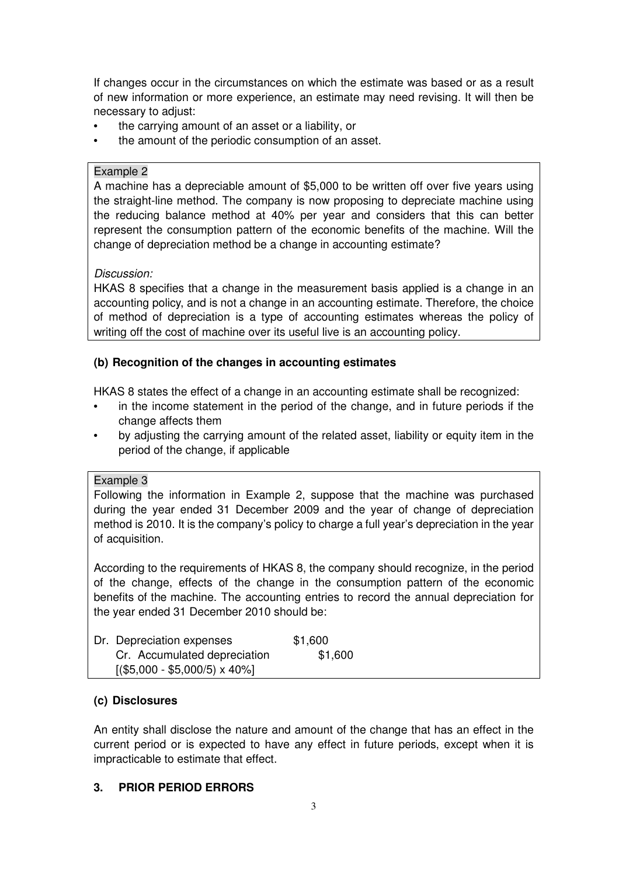If changes occur in the circumstances on which the estimate was based or as a result of new information or more experience, an estimate may need revising. It will then be necessary to adjust:

- the carrying amount of an asset or a liability, or
- the amount of the periodic consumption of an asset.

#### Example 2

A machine has a depreciable amount of \$5,000 to be written off over five years using the straight-line method. The company is now proposing to depreciate machine using the reducing balance method at 40% per year and considers that this can better represent the consumption pattern of the economic benefits of the machine. Will the change of depreciation method be a change in accounting estimate?

## Discussion:

HKAS 8 specifies that a change in the measurement basis applied is a change in an accounting policy, and is not a change in an accounting estimate. Therefore, the choice of method of depreciation is a type of accounting estimates whereas the policy of writing off the cost of machine over its useful live is an accounting policy.

## **(b) Recognition of the changes in accounting estimates**

HKAS 8 states the effect of a change in an accounting estimate shall be recognized:

- in the income statement in the period of the change, and in future periods if the change affects them
- by adjusting the carrying amount of the related asset, liability or equity item in the period of the change, if applicable

## Example 3

Following the information in Example 2, suppose that the machine was purchased during the year ended 31 December 2009 and the year of change of depreciation method is 2010. It is the company's policy to charge a full year's depreciation in the year of acquisition.

According to the requirements of HKAS 8, the company should recognize, in the period of the change, effects of the change in the consumption pattern of the economic benefits of the machine. The accounting entries to record the annual depreciation for the year ended 31 December 2010 should be:

| Dr. Depreciation expenses             | \$1,600 |  |
|---------------------------------------|---------|--|
| Cr. Accumulated depreciation          | \$1,600 |  |
| $[(\$5,000 - \$5,000/5) \times 40\%]$ |         |  |

## **(c) Disclosures**

An entity shall disclose the nature and amount of the change that has an effect in the current period or is expected to have any effect in future periods, except when it is impracticable to estimate that effect.

# **3. PRIOR PERIOD ERRORS**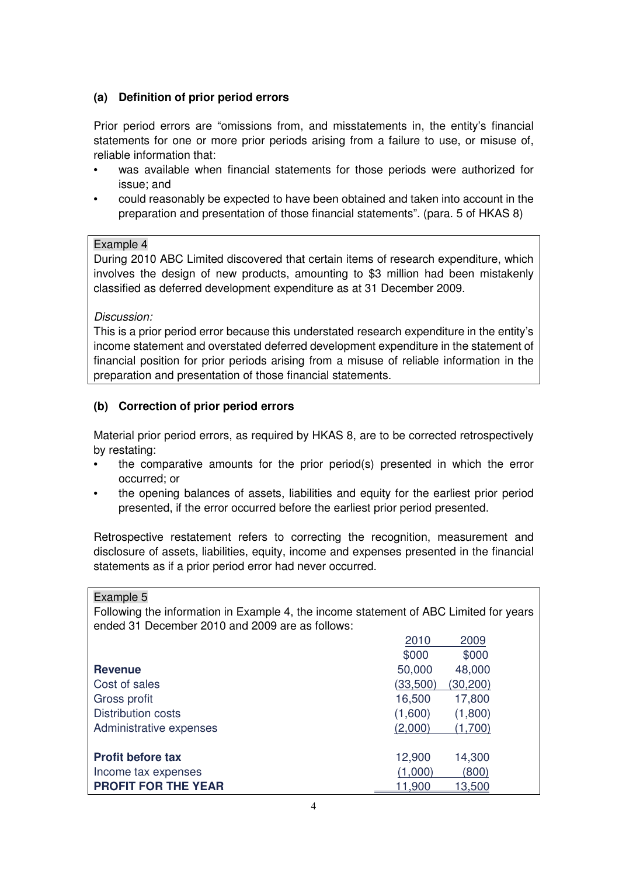# **(a) Definition of prior period errors**

Prior period errors are "omissions from, and misstatements in, the entity's financial statements for one or more prior periods arising from a failure to use, or misuse of, reliable information that:

- was available when financial statements for those periods were authorized for issue; and
- could reasonably be expected to have been obtained and taken into account in the preparation and presentation of those financial statements". (para. 5 of HKAS 8)

#### Example 4

During 2010 ABC Limited discovered that certain items of research expenditure, which involves the design of new products, amounting to \$3 million had been mistakenly classified as deferred development expenditure as at 31 December 2009.

#### Discussion:

This is a prior period error because this understated research expenditure in the entity's income statement and overstated deferred development expenditure in the statement of financial position for prior periods arising from a misuse of reliable information in the preparation and presentation of those financial statements.

## **(b) Correction of prior period errors**

Material prior period errors, as required by HKAS 8, are to be corrected retrospectively by restating:

- the comparative amounts for the prior period(s) presented in which the error occurred; or
- the opening balances of assets, liabilities and equity for the earliest prior period presented, if the error occurred before the earliest prior period presented.

Retrospective restatement refers to correcting the recognition, measurement and disclosure of assets, liabilities, equity, income and expenses presented in the financial statements as if a prior period error had never occurred.

Example 5

Following the information in Example 4, the income statement of ABC Limited for years ended 31 December 2010 and 2009 are as follows:

|                            | 2010           | 2009           |  |
|----------------------------|----------------|----------------|--|
|                            | \$000          | \$000          |  |
| <b>Revenue</b>             | 50,000         | 48,000         |  |
| Cost of sales              | (33,500)       | (30, 200)      |  |
| Gross profit               | 16,500         | 17,800         |  |
| <b>Distribution costs</b>  | (1,600)        | (1,800)        |  |
| Administrative expenses    | (2,000)        | (1,700)        |  |
|                            |                |                |  |
| <b>Profit before tax</b>   | 12,900         | 14,300         |  |
| Income tax expenses        | (1,000)        | (800)          |  |
| <b>PROFIT FOR THE YEAR</b> | <u> 11,900</u> | <u> 13.500</u> |  |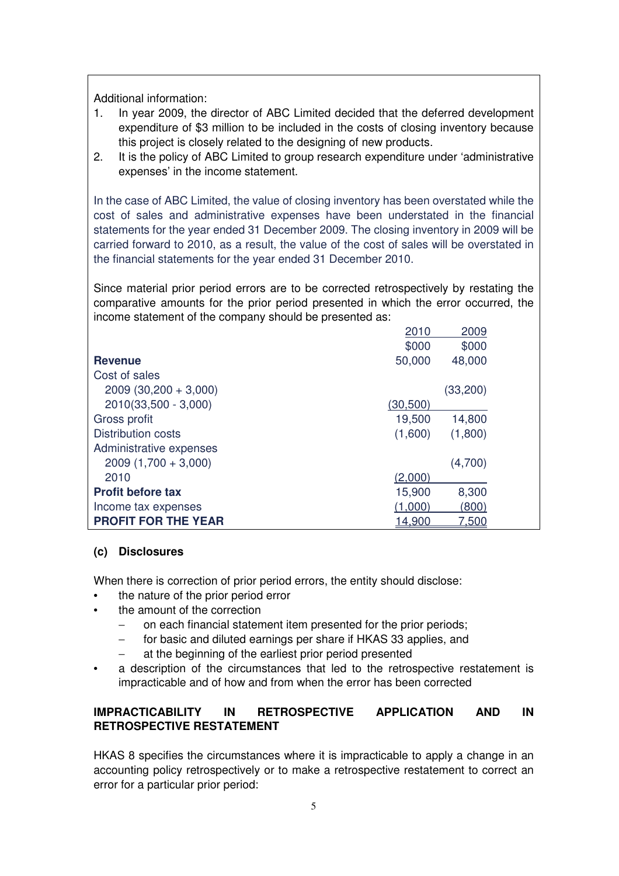Additional information:

- 1. In year 2009, the director of ABC Limited decided that the deferred development expenditure of \$3 million to be included in the costs of closing inventory because this project is closely related to the designing of new products.
- 2. It is the policy of ABC Limited to group research expenditure under 'administrative expenses' in the income statement.

In the case of ABC Limited, the value of closing inventory has been overstated while the cost of sales and administrative expenses have been understated in the financial statements for the year ended 31 December 2009. The closing inventory in 2009 will be carried forward to 2010, as a result, the value of the cost of sales will be overstated in the financial statements for the year ended 31 December 2010.

Since material prior period errors are to be corrected retrospectively by restating the comparative amounts for the prior period presented in which the error occurred, the income statement of the company should be presented as:

|                            | 2010      | 2009         |
|----------------------------|-----------|--------------|
|                            | \$000     | \$000        |
| <b>Revenue</b>             | 50,000    | 48,000       |
| Cost of sales              |           |              |
| $2009(30,200 + 3,000)$     |           | (33, 200)    |
| 2010(33,500 - 3,000)       | (30, 500) |              |
| Gross profit               | 19,500    | 14,800       |
| <b>Distribution costs</b>  | (1,600)   | (1,800)      |
| Administrative expenses    |           |              |
| $2009(1,700 + 3,000)$      |           | (4,700)      |
| 2010                       | (2,000)   |              |
| <b>Profit before tax</b>   | 15,900    | 8,300        |
| Income tax expenses        | (1,000)   | (800)        |
| <b>PROFIT FOR THE YEAR</b> | 14,900    | <u>7.500</u> |

## **(c) Disclosures**

When there is correction of prior period errors, the entity should disclose:

- the nature of the prior period error
- the amount of the correction
	- on each financial statement item presented for the prior periods;
	- for basic and diluted earnings per share if HKAS 33 applies, and
	- at the beginning of the earliest prior period presented
- a description of the circumstances that led to the retrospective restatement is impracticable and of how and from when the error has been corrected

# **IMPRACTICABILITY IN RETROSPECTIVE APPLICATION AND IN RETROSPECTIVE RESTATEMENT**

HKAS 8 specifies the circumstances where it is impracticable to apply a change in an accounting policy retrospectively or to make a retrospective restatement to correct an error for a particular prior period: